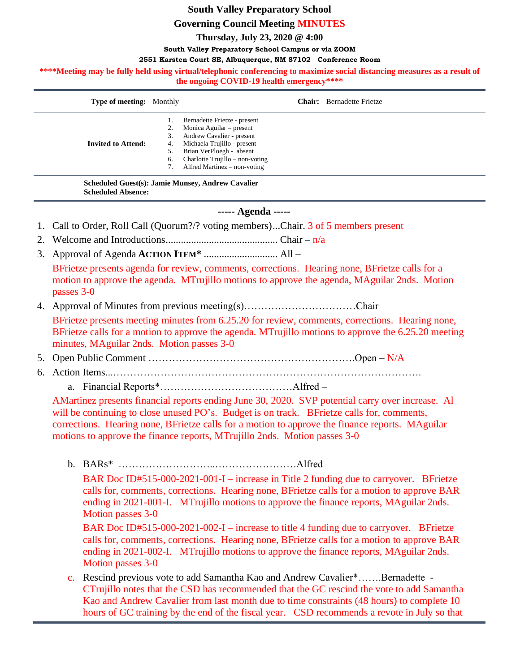# **South Valley Preparatory School**

# **Governing Council Meeting MINUTES**

**Thursday, July 23, 2020 @ 4:00**

#### **South Valley Preparatory School Campus or via ZOOM**

#### **2551 Karsten Court SE, Albuquerque, NM 87102 Conference Room**

\*\*\*\*Meeting may be fully held using virtual/telephonic conferencing to maximize social distancing measures as a result of **the ongoing COVID-19 health emergency\*\*\*\***

| <b>Type of meeting:</b> Monthly |    | <b>Chair:</b> Bernadette Frietze  |
|---------------------------------|----|-----------------------------------|
|                                 |    | Bernadette Frietze - present      |
|                                 | 2. | Monica Aguilar – present          |
| <b>Invited to Attend:</b>       | 3. | Andrew Cavalier - present         |
|                                 | 4. | Michaela Trujillo - present       |
|                                 | 5. | Brian VerPloegh - absent          |
|                                 | 6. | Charlotte Trujillo $-$ non-voting |
|                                 |    | Alfred Martinez – non-voting      |
|                                 |    |                                   |

**Scheduled Guest(s): Jamie Munsey, Andrew Cavalier Scheduled Absence:**

### **----- Agenda -----**

- 1. Call to Order, Roll Call (Quorum?/? voting members)...Chair. 3 of 5 members present
- 2. Welcome and Introductions............................................ Chair n/a
- 3. Approval of Agenda **ACTION ITEM\*** ............................. All –

BFrietze presents agenda for review, comments, corrections. Hearing none, BFrietze calls for a motion to approve the agenda. MTrujillo motions to approve the agenda, MAguilar 2nds. Motion passes 3-0

- 4. Approval of Minutes from previous meeting(s)……………………………Chair BFrietze presents meeting minutes from 6.25.20 for review, comments, corrections. Hearing none, BFrietze calls for a motion to approve the agenda. MTrujillo motions to approve the 6.25.20 meeting minutes, MAguilar 2nds. Motion passes 3-0
- 5. Open Public Comment …………………………………………………….Open N/A
- 6. Action Items...……………………………………………………………………………….

a. Financial Reports\*…………………………………Alfred –

AMartinez presents financial reports ending June 30, 2020. SVP potential carry over increase. Al will be continuing to close unused PO's. Budget is on track. BFrietze calls for, comments, corrections. Hearing none, BFrietze calls for a motion to approve the finance reports. MAguilar motions to approve the finance reports, MTrujillo 2nds. Motion passes 3-0

b. BARs\* ………………………..……………………Alfred

BAR Doc ID#515-000-2021-001-I – increase in Title 2 funding due to carryover. BFrietze calls for, comments, corrections. Hearing none, BFrietze calls for a motion to approve BAR ending in 2021-001-I. MTrujillo motions to approve the finance reports, MAguilar 2nds. Motion passes 3-0

BAR Doc ID#515-000-2021-002-I – increase to title 4 funding due to carryover. BFrietze calls for, comments, corrections. Hearing none, BFrietze calls for a motion to approve BAR ending in 2021-002-I. MTrujillo motions to approve the finance reports, MAguilar 2nds. Motion passes 3-0

c. Rescind previous vote to add Samantha Kao and Andrew Cavalier\*…….Bernadette - CTrujillo notes that the CSD has recommended that the GC rescind the vote to add Samantha Kao and Andrew Cavalier from last month due to time constraints (48 hours) to complete 10 hours of GC training by the end of the fiscal year. CSD recommends a revote in July so that